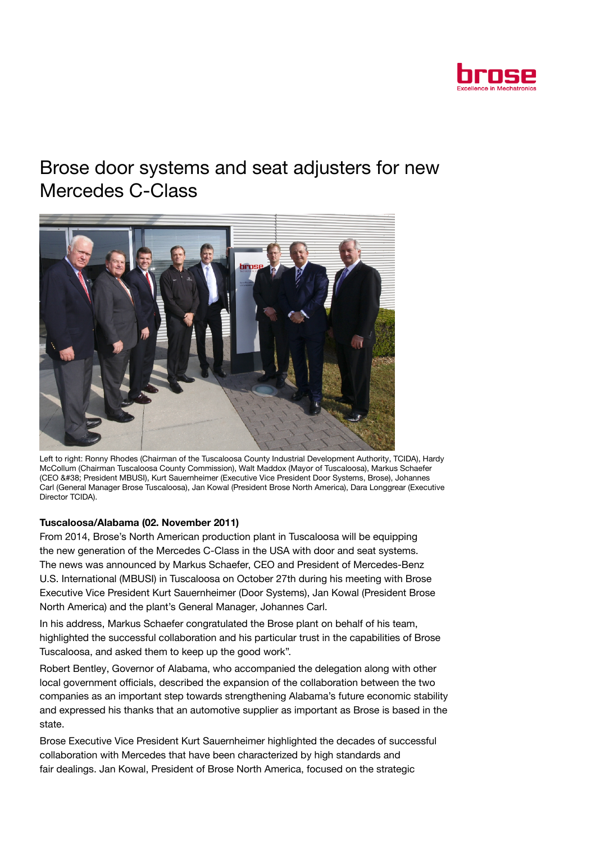

## Brose door systems and seat adjusters for new Mercedes C-Class



Left to right: Ronny Rhodes (Chairman of the Tuscaloosa County Industrial Development Authority, TCIDA), Hardy McCollum (Chairman Tuscaloosa County Commission), Walt Maddox (Mayor of Tuscaloosa), Markus Schaefer (CEO & President MBUSI), Kurt Sauernheimer (Executive Vice President Door Systems, Brose), Johannes Carl (General Manager Brose Tuscaloosa), Jan Kowal (President Brose North America), Dara Longgrear (Executive Director TCIDA).

## Tuscaloosa/Alabama (02. November 2011)

From 2014, Brose's North American production plant in Tuscaloosa will be equipping the new generation of the Mercedes C-Class in the USA with door and seat systems. The news was announced by Markus Schaefer, CEO and President of Mercedes-Benz U.S. International (MBUSI) in Tuscaloosa on October 27th during his meeting with Brose Executive Vice President Kurt Sauernheimer (Door Systems), Jan Kowal (President Brose North America) and the plant's General Manager, Johannes Carl.

In his address, Markus Schaefer congratulated the Brose plant on behalf of his team, highlighted the successful collaboration and his particular trust in the capabilities of Brose Tuscaloosa, and asked them to keep up the good work".

Robert Bentley, Governor of Alabama, who accompanied the delegation along with other local government officials, described the expansion of the collaboration between the two companies as an important step towards strengthening Alabama's future economic stability and expressed his thanks that an automotive supplier as important as Brose is based in the state.

Brose Executive Vice President Kurt Sauernheimer highlighted the decades of successful collaboration with Mercedes that have been characterized by high standards and fair dealings. Jan Kowal, President of Brose North America, focused on the strategic